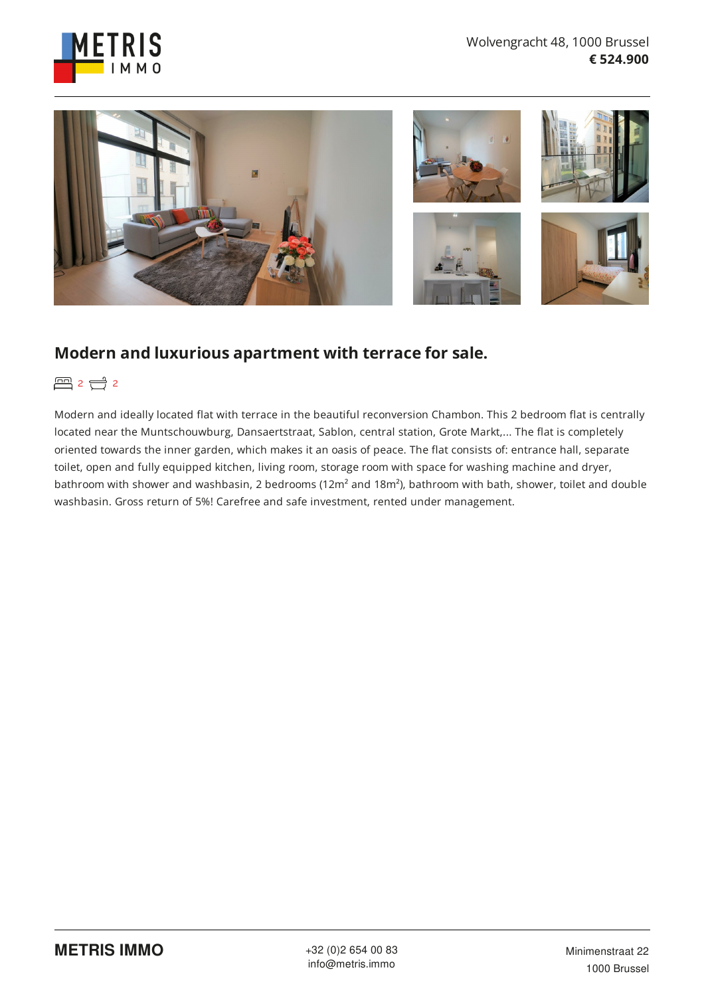



## **Modern and luxurious apartment with terrace for sale.**

图 2 0 2

Modern and ideally located flat with terrace in the beautiful reconversion Chambon. This 2 bedroom flat is centrally located near the Muntschouwburg, Dansaertstraat, Sablon, central station, Grote Markt,... The flat is completely oriented towards the inner garden, which makes it an oasis of peace. The flat consists of: entrance hall, separate toilet, open and fully equipped kitchen, living room, storage room with space for washing machine and dryer, bathroom with shower and washbasin, 2 bedrooms (12m² and 18m²), bathroom with bath, shower, toilet and double washbasin. Gross return of 5%! Carefree and safe investment, rented under management.